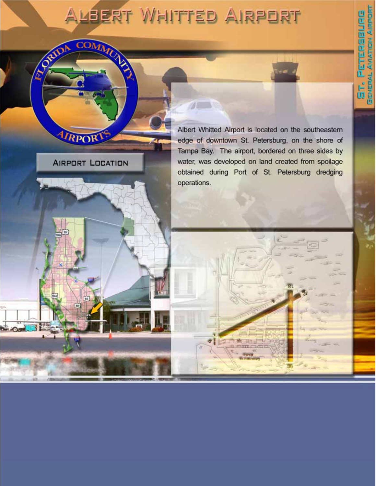# ALBERT WHITTED AIRPORT

RORIDA

COMMUN

AIRPORT

**AIRPORT LOCATION** 

 $\sqrt{2}$ Albert Whitted Airport is located on the southeastern edge of downtown St. Petersburg, on the shore of Tampa Bay. The airport, bordered on three sides by water, was developed on land created from spoilage obtained during Port of St. Petersburg dredging operations.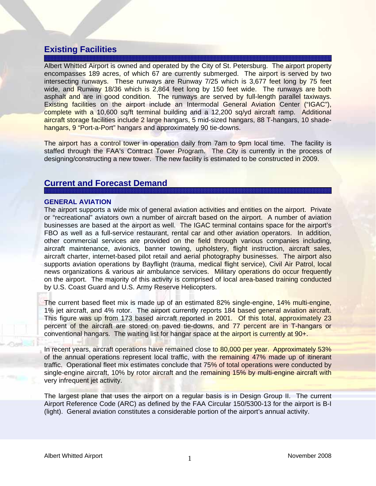## **Existing Facilities**

Albert Whitted Airport is owned and operated by the City of St. Petersburg. The airport property encompasses 189 acres, of which 67 are currently submerged. The airport is served by two intersecting runways. These runways are Runway 7/25 which is 3,677 feet long by 75 feet wide, and Runway 18/36 which is 2,864 feet long by 150 feet wide. The runways are both asphalt and are in good condition. The runways are served by full-length parallel taxiways. Existing facilities on the airport include an Intermodal General Aviation Center ("IGAC"), complete with a 10,600 sq/ft terminal building and a 12,200 sq/yd aircraft ramp. Additional aircraft storage facilities include 2 large hangars, 5 mid-sized hangars, 88 T-hangars, 10 shadehangars, 9 "Port-a-Port" hangars and approximately 90 tie-downs.

The airport has a control tower in operation daily from 7am to 9pm local time. The facility is staffed through the FAA's Contract Tower Program. The City is currently in the process of designing/constructing a new tower. The new facility is estimated to be constructed in 2009.

## **Current and Forecast Demand**

#### **GENERAL AVIATION**

The airport supports a wide mix of general aviation activities and entities on the airport. Private or "recreational" aviators own a number of aircraft based on the airport. A number of aviation businesses are based at the airport as well. The IGAC terminal contains space for the airport's FBO as well as a full-service restaurant, rental car and other aviation operators. In addition, other commercial services are provided on the field through various companies including, aircraft maintenance, avionics, banner towing, upholstery, flight instruction, aircraft sales, aircraft charter, internet-based pilot retail and aerial photography businesses. The airport also supports aviation operations by Bayflight (trauma, medical flight service), Civil Air Patrol, local news organizations & various air ambulance services. Military operations do occur frequently on the airport. The majority of this activity is comprised of local area-based training conducted by U.S. Coast Guard and U.S. Army Reserve Helicopters.

The current based fleet mix is made up of an estimated 82% single-engine, 14% multi-engine, 1% jet aircraft, and 4% rotor. The airport currently reports 184 based general aviation aircraft. This figure was up from 173 based aircraft reported in 2001. Of this total, approximately 23 percent of the aircraft are stored on paved tie-downs, and 77 percent are in T-hangars or conventional hangars. The waiting list for hangar space at the airport is currently at 90+.

In recent years, aircraft operations have remained close to 80,000 per year. Approximately 53% of the annual operations represent local traffic, with the remaining 47% made up of itinerant traffic. Operational fleet mix estimates conclude that 75% of total operations were conducted by single-engine aircraft, 10% by rotor aircraft and the remaining 15% by multi-engine aircraft with very infrequent jet activity.

The largest plane that uses the airport on a regular basis is in Design Group II. The current Airport Reference Code (ARC) as defined by the FAA Circular 150/5300-13 for the airport is B-I (light). General aviation constitutes a considerable portion of the airport's annual activity.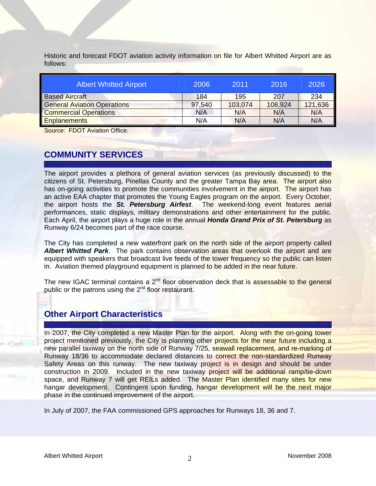Historic and forecast FDOT aviation activity information on file for Albert Whitted Airport are as follows:

| <b>Albert Whitted Airport</b>      | 2006   | 2011    | 2016    | 2026    |
|------------------------------------|--------|---------|---------|---------|
| <b>Based Aircraft</b>              | 184    | 195     | 207     | 234     |
| <b>General Aviation Operations</b> | 97,540 | 103,074 | 108,924 | 121,636 |
| <b>Commercial Operations</b>       | N/A    | N/A     | N/A     | N/A     |
| <b>Enplanements</b>                | N/A    | N/A     | N/A     | N/A     |

Source: FDOT Aviation Office.

# **COMMUNITY SERVICES**

The airport provides a plethora of general aviation services (as previously discussed) to the citizens of St. Petersburg, Pinellas County and the greater Tampa Bay area. The airport also has on-going activities to promote the communities involvement in the airport. The airport has an active EAA chapter that promotes the Young Eagles program on the airport. Every October, the airport hosts the *St. Petersburg Airfest*. The weekend-long event features aerial performances, static displays, military demonstrations and other entertainment for the public. Each April, the airport plays a huge role in the annual *Honda Grand Prix of St. Petersburg* as Runway 6/24 becomes part of the race course.

The City has completed a new waterfront park on the north side of the airport property called *Albert Whitted Park*. The park contains observation areas that overlook the airport and are equipped with speakers that broadcast live feeds of the tower frequency so the public can listen in. Aviation themed playground equipment is planned to be added in the near future.

The new IGAC terminal contains a 2<sup>nd</sup> floor observation deck that is assessable to the general public or the patrons using the  $2<sup>nd</sup>$  floor restaurant.

# **Other Airport Characteristics**

In 2007, the City completed a new Master Plan for the airport. Along with the on-going tower project mentioned previously, the City is planning other projects for the near future including a new parallel taxiway on the north side of Runway 7/25, seawall replacement, and re-marking of Runway 18/36 to accommodate declared distances to correct the non-standardized Runway Safety Areas on this runway. The new taxiway project is in design and should be under construction in 2009. Included in the new taxiway project will be additional ramp/tie-down space, and Runway 7 will get REILs added. The Master Plan identified many sites for new hangar development. Contingent upon funding, hangar development will be the next major phase in the continued improvement of the airport.

In July of 2007, the FAA commissioned GPS approaches for Runways 18, 36 and 7.